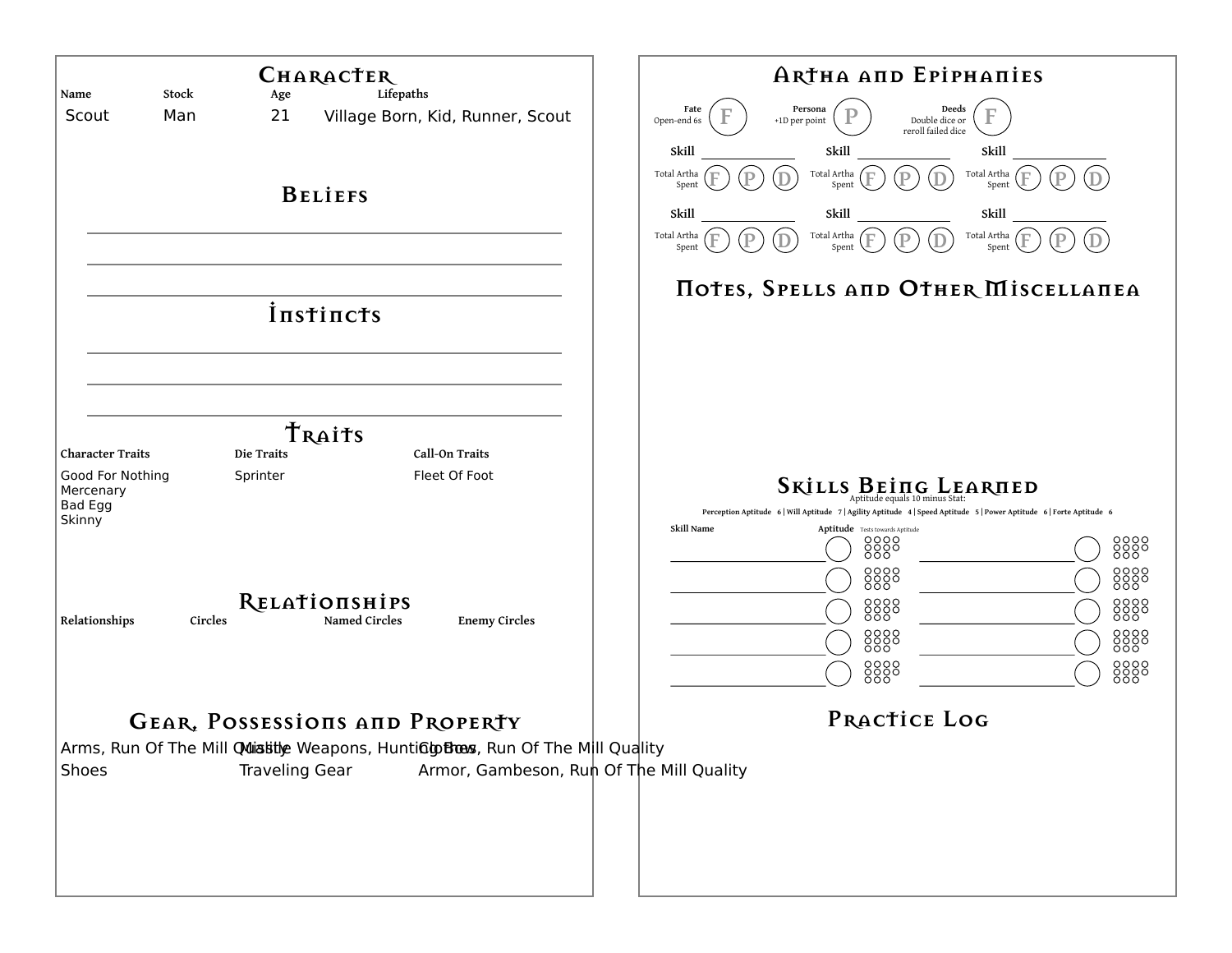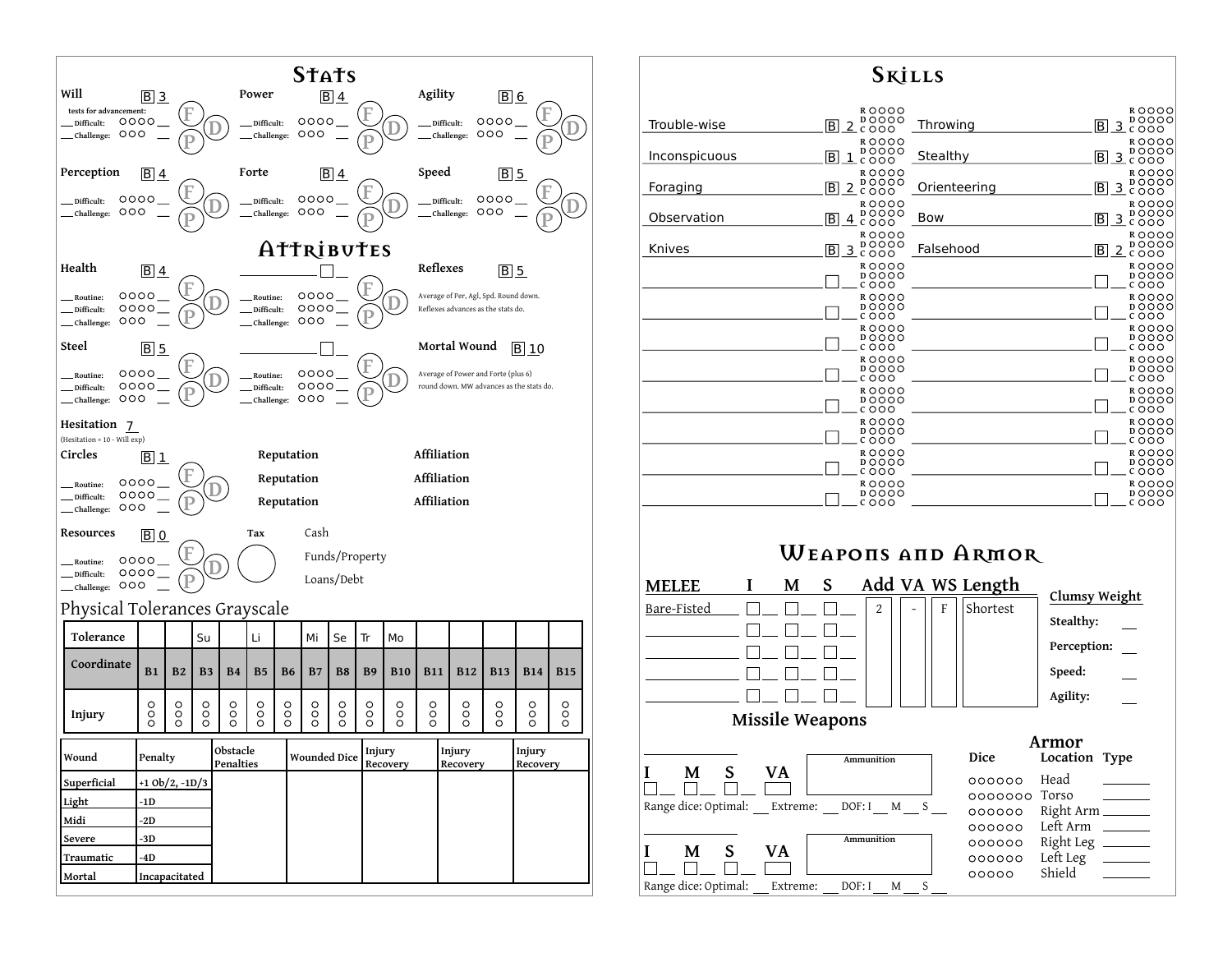

## **Skills ROOOO**<br>**DOOOO ROOOO**<br>**DOOOO B** 2 2000 **D C** Trouble-wise **Throwing R**OOOO **R**OOOO **D C** OOO Stealthy B 3 **D C** Inconspicuous **R R**  $B_{c}$ <sup>D</sup><sub>c</sub>ooo **D C Foraging C** Orienteering **R**OOOO **R D**OOO **D <sup>C</sup>** Bow B 3 **Observation B** 3  $\frac{1}{2}$   $\frac{1}{2}$   $\frac{1}{2}$   $\frac{1}{2}$   $\frac{1}{2}$ **R**OOOO **R**OOOO **Knives** <u>B 3</u> <sup>D</sup><sub>c</sub> Falsehood **D C R R D D**  $\overline{\phantom{0}}$ **C**  $\overline{\text{c}}$  000 **R R D D C C R R D**OOO **D**  $\overline{\text{c} \circ \circ \circ}$  $COOO$ **R R D D** Г  $COOO$ **C R R D**OOO **D**OOO  $\overline{\text{c}}$  000 **CCCC R R D**OOO **D**OOO **C C R R D**OOO **D**OOO **C C R R**  $\overline{D}$  $\overline{O}$  $\overline{O}$  $\overline{O}$ **D**  $0000$ **C**<sub>O</sub>OO **Weapons and Armor**